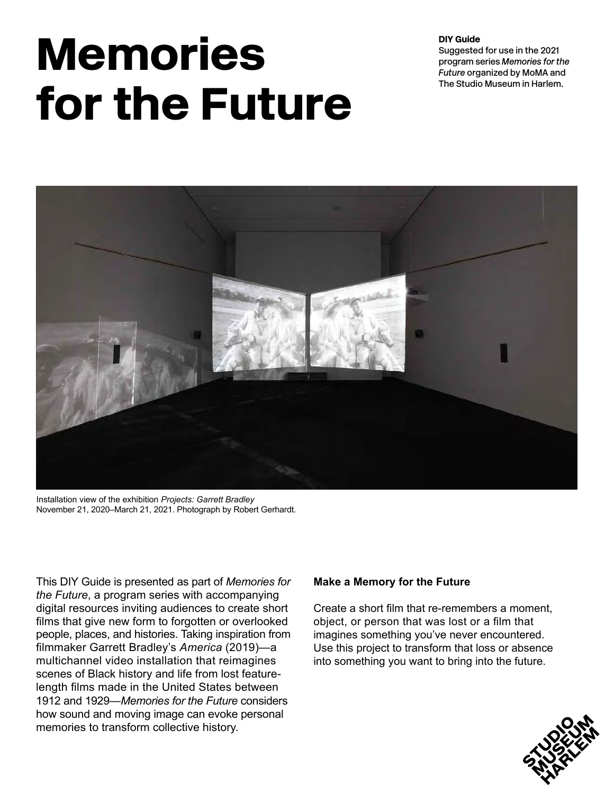# Memories for the Future

DIY Guide

Suggested for use in the 2021 program series *Memories for the Future* organized by MoMA and The Studio Museum in Harlem.



Installation view of the exhibition *Projects: Garrett Bradley*  November 21, 2020–March 21, 2021. Photograph by Robert Gerhardt.

This DIY Guide is presented as part of *Memories for the Future*, a program series with accompanying digital resources inviting audiences to create short films that give new form to forgotten or overlooked people, places, and histories. Taking inspiration from filmmaker Garrett Bradley's *America* (2019)—a multichannel video installation that reimagines scenes of Black history and life from lost featurelength films made in the United States between 1912 and 1929—*Memories for the Future* considers how sound and moving image can evoke personal memories to transform collective history.

## **Make a Memory for the Future**

Create a short film that re-remembers a moment, object, or person that was lost or a film that imagines something you've never encountered. Use this project to transform that loss or absence into something you want to bring into the future.

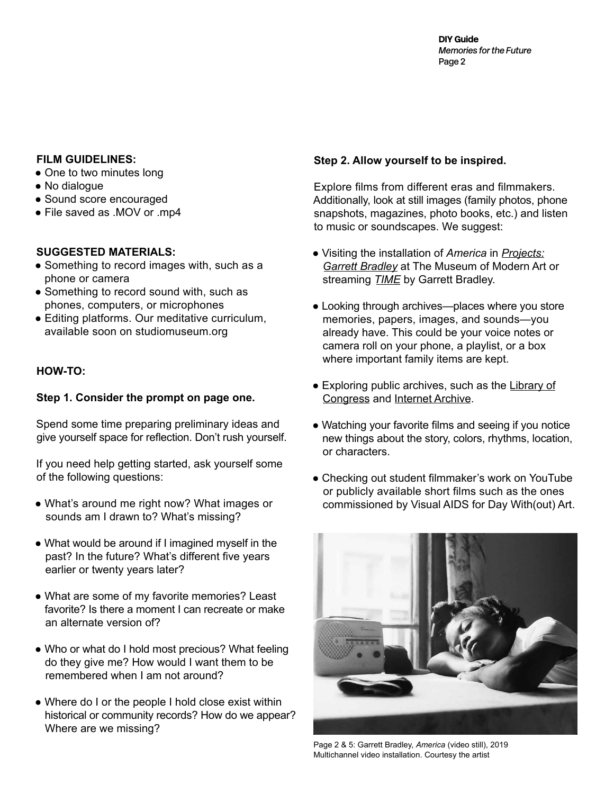DIY Guide *Memories for the Future*  Page 2

#### **FILM GUIDELINES:**

- One to two minutes long
- No dialogue
- Sound score encouraged
- File saved as .MOV or .mp4

#### **SUGGESTED MATERIALS:**

- Something to record images with, such as a phone or camera
- Something to record sound with, such as phones, computers, or microphones
- Editing platforms. Our meditative curriculum, available soon on studiomuseum.org

#### **HOW-TO:**

#### **Step 1. Consider the prompt on page one.**

Spend some time preparing preliminary ideas and give yourself space for reflection. Don't rush yourself.

If you need help getting started, ask yourself some of the following questions:

- What's around me right now? What images or sounds am I drawn to? What's missing?
- What would be around if I imagined myself in the past? In the future? What's different five years earlier or twenty years later?
- What are some of my favorite memories? Least favorite? Is there a moment I can recreate or make an alternate version of?
- Who or what do I hold most precious? What feeling do they give me? How would I want them to be remembered when I am not around?
- Where do I or the people I hold close exist within historical or community records? How do we appear? Where are we missing?

## **Step 2. Allow yourself to be inspired.**

Explore films from different eras and filmmakers. Additionally, look at still images (family photos, phone snapshots, magazines, photo books, etc.) and listen to music or soundscapes. We suggest:

- Visiting the installation of *America* in *[Projects:](https://studiomuseum.org/exhibition/projects-garrett-bradley) [Garrett Bradley](https://studiomuseum.org/exhibition/projects-garrett-bradley)* at The Museum of Modern Art or streaming *[TIME](https://www.amazon.com/Time-Fox-Rich/dp/B08J7DDGJY)* by Garrett Bradley.
- Looking through archives—places where you store memories, papers, images, and sounds—you already have. This could be your voice notes or camera roll on your phone, a playlist, or a box where important family items are kept.
- Exploring public archives, such as the [Library of](https://www.loc.gov/collections/?all=true&fa=original-format:film,+video&st=slideshow) [Congress](https://www.loc.gov/collections/?all=true&fa=original-format:film,+video&st=slideshow) and [Internet Archive.](http://archive.org)
- Watching your favorite films and seeing if you notice new things about the story, colors, rhythms, location, or characters.
- Checking out student filmmaker's work on YouTube or publicly available short films such as the ones commissioned by Visual AIDS for Day With(out) Art.



Page 2 & 5: Garrett Bradley, *America* (video still), 2019 Multichannel video installation. Courtesy the artist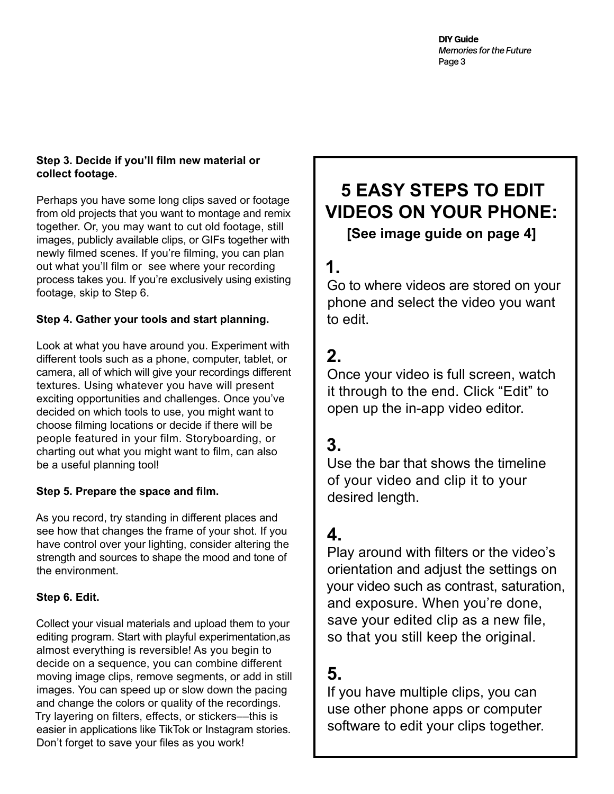## **Step 3. Decide if you'll film new material or collect footage.**

Perhaps you have some long clips saved or footage from old projects that you want to montage and remix together. Or, you may want to cut old footage, still images, publicly available clips, or GIFs together with newly filmed scenes. If you're filming, you can plan out what you'll film or see where your recording process takes you. If you're exclusively using existing footage, skip to Step 6.

## **Step 4. Gather your tools and start planning.**

Look at what you have around you. Experiment with different tools such as a phone, computer, tablet, or camera, all of which will give your recordings different textures. Using whatever you have will present exciting opportunities and challenges. Once you've decided on which tools to use, you might want to choose filming locations or decide if there will be people featured in your film. Storyboarding, or charting out what you might want to film, can also be a useful planning tool!

## **Step 5. Prepare the space and film.**

As you record, try standing in different places and see how that changes the frame of your shot. If you have control over your lighting, consider altering the strength and sources to shape the mood and tone of the environment.

## **Step 6. Edit.**

Collect your visual materials and upload them to your editing program. Start with playful experimentation,as almost everything is reversible! As you begin to decide on a sequence, you can combine different moving image clips, remove segments, or add in still images. You can speed up or slow down the pacing and change the colors or quality of the recordings. Try layering on filters, effects, or stickers––this is easier in applications like TikTok or Instagram stories. Don't forget to save your files as you work!

# **5 EASY STEPS TO EDIT VIDEOS ON YOUR PHONE:**

**[See image guide on page 4]**

# **1.**

Go to where videos are stored on your phone and select the video you want to edit.

# **2.**

Once your video is full screen, watch it through to the end. Click "Edit" to open up the in-app video editor.

## **3.**

Use the bar that shows the timeline of your video and clip it to your desired length.

## **4.**

Play around with filters or the video's orientation and adjust the settings on your video such as contrast, saturation, and exposure. When you're done, save your edited clip as a new file, so that you still keep the original.

## **5.**

If you have multiple clips, you can use other phone apps or computer software to edit your clips together.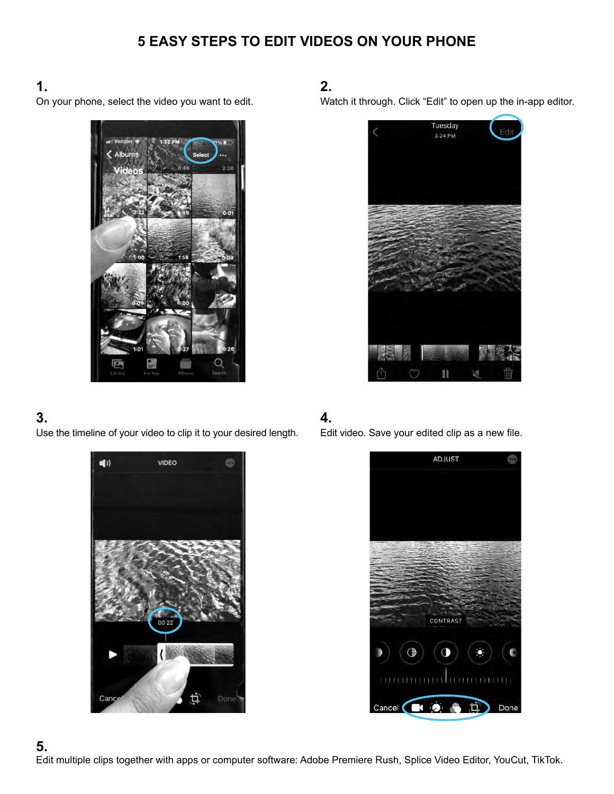## **5 EASY STEPS TO EDIT VIDEOS ON YOUR PHONE**

## **1.**

On your phone, select the video you want to edit.



## **3.**

Use the timeline of your video to clip it to your desired length.



## **2.**

Watch it through. Click "Edit" to open up the in-app editor.



## **4.**

Edit video. Save your edited clip as a new file.